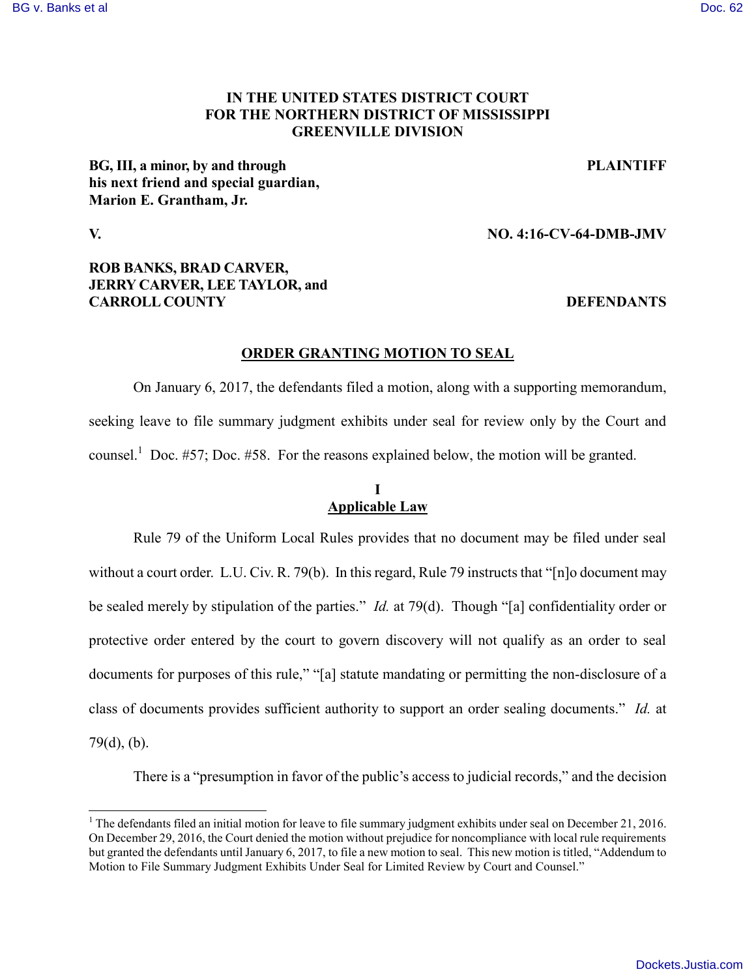#### [BG v. Banks et al](https://dockets.justia.com/docket/mississippi/msndce/4:2016cv00064/38090/) [Doc. 62](https://docs.justia.com/cases/federal/district-courts/mississippi/msndce/4:2016cv00064/38090/62/)

## **IN THE UNITED STATES DISTRICT COURT FOR THE NORTHERN DISTRICT OF MISSISSIPPI GREENVILLE DIVISION**

**BG, III, a minor, by and through PLAINTIFF his next friend and special guardian, Marion E. Grantham, Jr.**

 $\overline{\phantom{a}}$ 

### **V. NO. 4:16-CV-64-DMB-JMV**

## **ROB BANKS, BRAD CARVER, JERRY CARVER, LEE TAYLOR, and CARROLL COUNTY DEFENDANTS**

# **ORDER GRANTING MOTION TO SEAL**

On January 6, 2017, the defendants filed a motion, along with a supporting memorandum, seeking leave to file summary judgment exhibits under seal for review only by the Court and counsel.<sup>1</sup> Doc. #57; Doc. #58. For the reasons explained below, the motion will be granted.

## **I Applicable Law**

Rule 79 of the Uniform Local Rules provides that no document may be filed under seal without a court order. L.U. Civ. R. 79(b). In this regard, Rule 79 instructs that "[n]o document may be sealed merely by stipulation of the parties." *Id.* at 79(d). Though "[a] confidentiality order or protective order entered by the court to govern discovery will not qualify as an order to seal documents for purposes of this rule," "[a] statute mandating or permitting the non-disclosure of a class of documents provides sufficient authority to support an order sealing documents." *Id.* at 79(d), (b).

There is a "presumption in favor of the public's access to judicial records," and the decision

<sup>&</sup>lt;sup>1</sup> The defendants filed an initial motion for leave to file summary judgment exhibits under seal on December 21, 2016. On December 29, 2016, the Court denied the motion without prejudice for noncompliance with local rule requirements but granted the defendants until January 6, 2017, to file a new motion to seal. This new motion is titled, "Addendum to Motion to File Summary Judgment Exhibits Under Seal for Limited Review by Court and Counsel."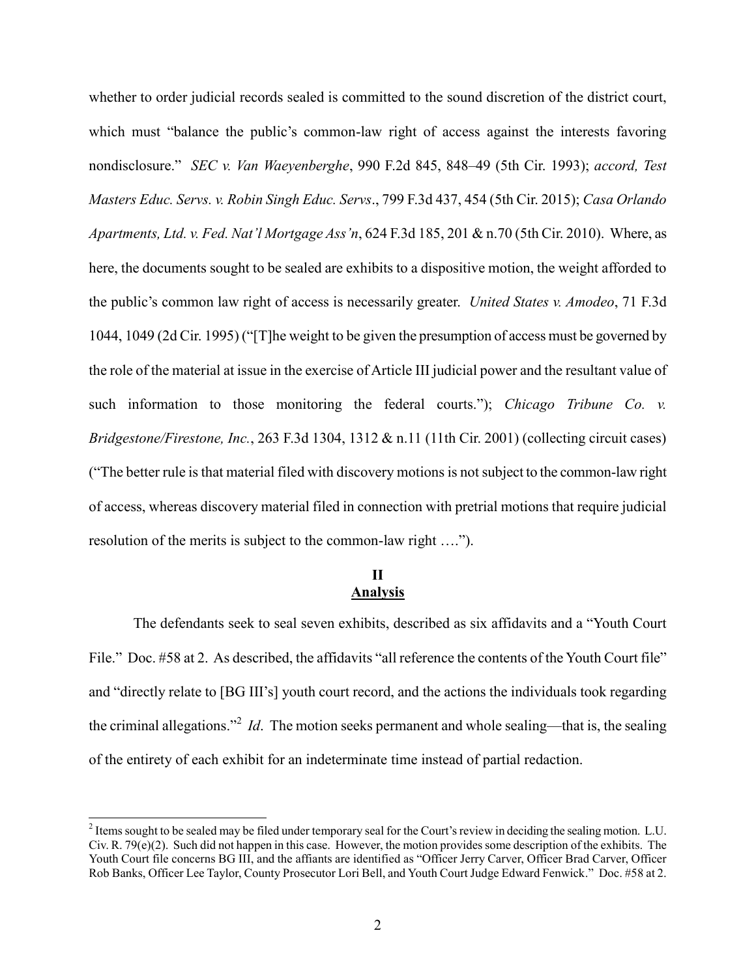whether to order judicial records sealed is committed to the sound discretion of the district court, which must "balance the public's common-law right of access against the interests favoring nondisclosure." *SEC v. Van Waeyenberghe*, 990 F.2d 845, 848–49 (5th Cir. 1993); *accord, Test Masters Educ. Servs. v. Robin Singh Educ. Servs*., 799 F.3d 437, 454 (5th Cir. 2015); *Casa Orlando Apartments, Ltd. v. Fed. Nat'l Mortgage Ass'n*, 624 F.3d 185, 201 & n.70 (5th Cir. 2010). Where, as here, the documents sought to be sealed are exhibits to a dispositive motion, the weight afforded to the public's common law right of access is necessarily greater. *United States v. Amodeo*, 71 F.3d 1044, 1049 (2d Cir. 1995) ("[T]he weight to be given the presumption of access must be governed by the role of the material at issue in the exercise of Article III judicial power and the resultant value of such information to those monitoring the federal courts."); *Chicago Tribune Co. v. Bridgestone/Firestone, Inc.*, 263 F.3d 1304, 1312 & n.11 (11th Cir. 2001) (collecting circuit cases) ("The better rule is that material filed with discovery motions is not subject to the common-law right of access, whereas discovery material filed in connection with pretrial motions that require judicial resolution of the merits is subject to the common-law right ….").

# **II Analysis**

The defendants seek to seal seven exhibits, described as six affidavits and a "Youth Court File." Doc. #58 at 2. As described, the affidavits "all reference the contents of the Youth Court file" and "directly relate to [BG III's] youth court record, and the actions the individuals took regarding the criminal allegations."<sup>2</sup> *Id*. The motion seeks permanent and whole sealing—that is, the sealing of the entirety of each exhibit for an indeterminate time instead of partial redaction.

<sup>&</sup>lt;sup>2</sup> Items sought to be sealed may be filed under temporary seal for the Court's review in deciding the sealing motion. L.U. Civ. R. 79(e)(2). Such did not happen in this case. However, the motion provides some description of the exhibits. The Youth Court file concerns BG III, and the affiants are identified as "Officer Jerry Carver, Officer Brad Carver, Officer Rob Banks, Officer Lee Taylor, County Prosecutor Lori Bell, and Youth Court Judge Edward Fenwick." Doc. #58 at 2.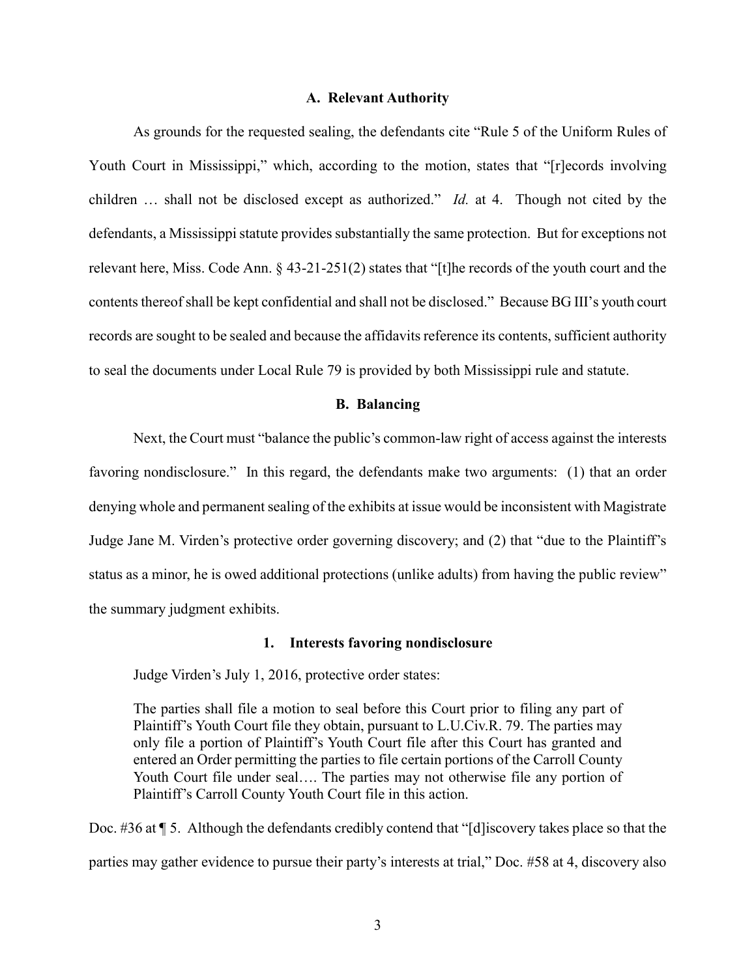#### **A. Relevant Authority**

As grounds for the requested sealing, the defendants cite "Rule 5 of the Uniform Rules of Youth Court in Mississippi," which, according to the motion, states that "[r]ecords involving children … shall not be disclosed except as authorized." *Id.* at 4. Though not cited by the defendants, a Mississippi statute provides substantially the same protection. But for exceptions not relevant here, Miss. Code Ann. § 43-21-251(2) states that "[t]he records of the youth court and the contents thereof shall be kept confidential and shall not be disclosed." Because BG III's youth court records are sought to be sealed and because the affidavits reference its contents, sufficient authority to seal the documents under Local Rule 79 is provided by both Mississippi rule and statute.

#### **B. Balancing**

Next, the Court must "balance the public's common-law right of access against the interests favoring nondisclosure." In this regard, the defendants make two arguments: (1) that an order denying whole and permanent sealing of the exhibits at issue would be inconsistent with Magistrate Judge Jane M. Virden's protective order governing discovery; and (2) that "due to the Plaintiff's status as a minor, he is owed additional protections (unlike adults) from having the public review" the summary judgment exhibits.

#### **1. Interests favoring nondisclosure**

Judge Virden's July 1, 2016, protective order states:

The parties shall file a motion to seal before this Court prior to filing any part of Plaintiff's Youth Court file they obtain, pursuant to L.U.Civ.R. 79. The parties may only file a portion of Plaintiff's Youth Court file after this Court has granted and entered an Order permitting the parties to file certain portions of the Carroll County Youth Court file under seal…. The parties may not otherwise file any portion of Plaintiff's Carroll County Youth Court file in this action.

Doc. #36 at ¶ 5. Although the defendants credibly contend that "[d]iscovery takes place so that the parties may gather evidence to pursue their party's interests at trial," Doc. #58 at 4, discovery also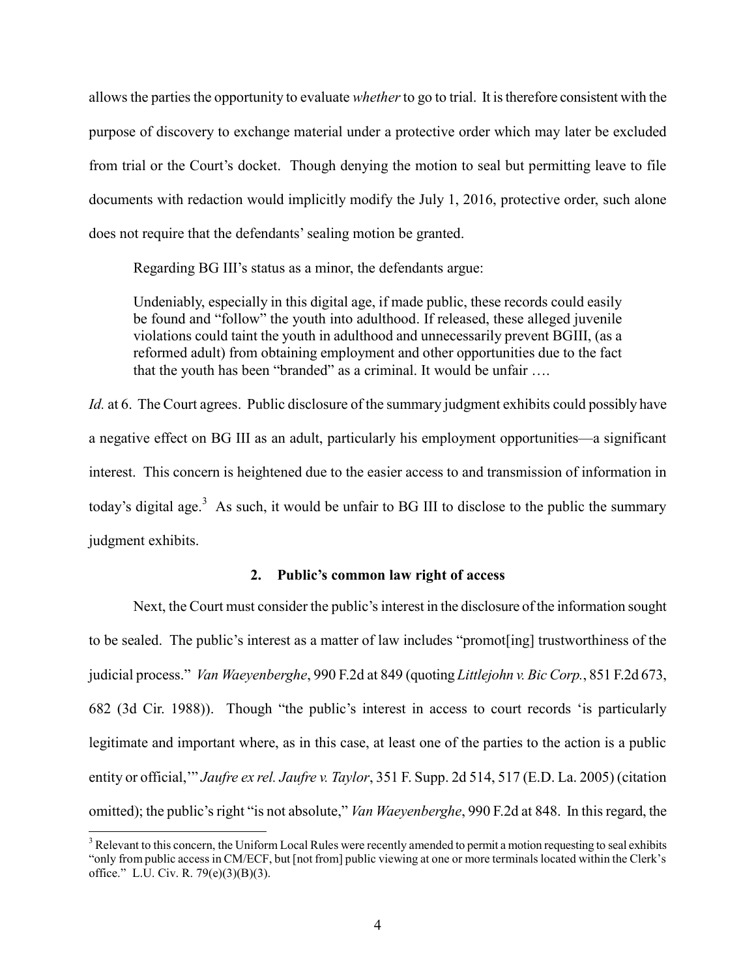allows the parties the opportunity to evaluate *whether*to go to trial. It is therefore consistent with the purpose of discovery to exchange material under a protective order which may later be excluded from trial or the Court's docket. Though denying the motion to seal but permitting leave to file documents with redaction would implicitly modify the July 1, 2016, protective order, such alone does not require that the defendants' sealing motion be granted.

Regarding BG III's status as a minor, the defendants argue:

Undeniably, especially in this digital age, if made public, these records could easily be found and "follow" the youth into adulthood. If released, these alleged juvenile violations could taint the youth in adulthood and unnecessarily prevent BGIII, (as a reformed adult) from obtaining employment and other opportunities due to the fact that the youth has been "branded" as a criminal. It would be unfair ….

*Id.* at 6. The Court agrees. Public disclosure of the summary judgment exhibits could possibly have a negative effect on BG III as an adult, particularly his employment opportunities—a significant interest. This concern is heightened due to the easier access to and transmission of information in today's digital age.<sup>3</sup> As such, it would be unfair to BG III to disclose to the public the summary judgment exhibits.

#### **2. Public's common law right of access**

Next, the Court must consider the public's interest in the disclosure of the information sought to be sealed. The public's interest as a matter of law includes "promot[ing] trustworthiness of the judicial process." *Van Waeyenberghe*, 990 F.2d at 849 (quoting *Littlejohn v. Bic Corp.*, 851 F.2d 673, 682 (3d Cir. 1988)). Though "the public's interest in access to court records 'is particularly legitimate and important where, as in this case, at least one of the parties to the action is a public entity or official,'" *Jaufre ex rel. Jaufre v. Taylor*, 351 F. Supp. 2d 514, 517 (E.D. La. 2005) (citation omitted); the public's right "is not absolute," *Van Waeyenberghe*, 990 F.2d at 848. In this regard, the

 $\overline{a}$ 

<sup>&</sup>lt;sup>3</sup> Relevant to this concern, the Uniform Local Rules were recently amended to permit a motion requesting to seal exhibits "only from public access in CM/ECF, but [not from] public viewing at one or more terminals located within the Clerk's office." L.U. Civ. R. 79(e)(3)(B)(3).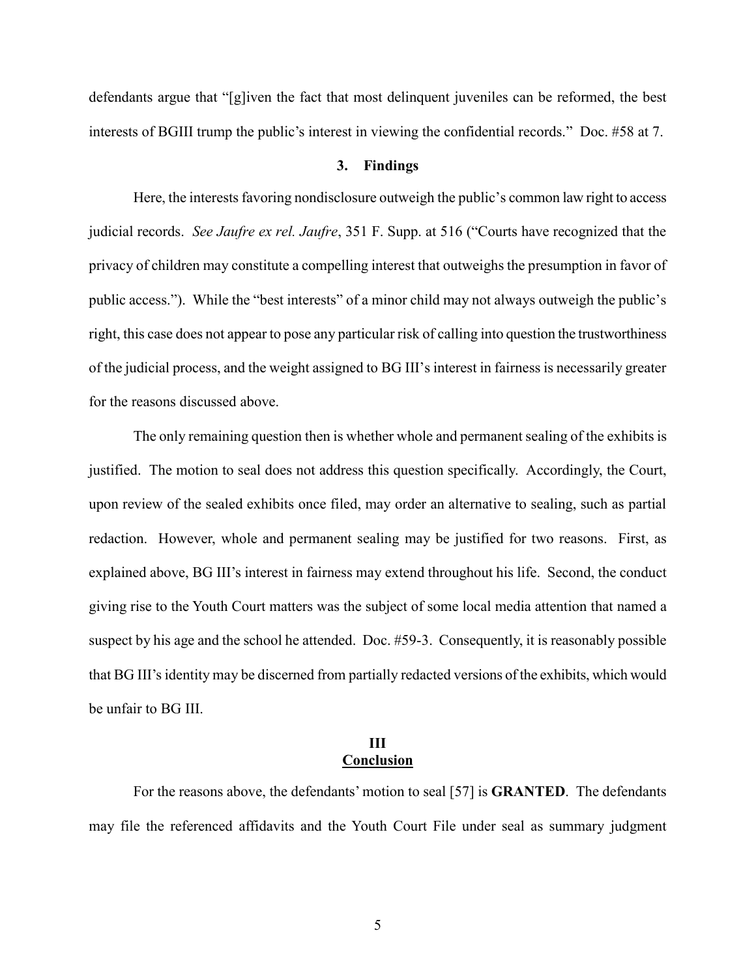defendants argue that "[g]iven the fact that most delinquent juveniles can be reformed, the best interests of BGIII trump the public's interest in viewing the confidential records." Doc. #58 at 7.

## **3. Findings**

Here, the interests favoring nondisclosure outweigh the public's common law right to access judicial records. *See Jaufre ex rel. Jaufre*, 351 F. Supp. at 516 ("Courts have recognized that the privacy of children may constitute a compelling interest that outweighs the presumption in favor of public access."). While the "best interests" of a minor child may not always outweigh the public's right, this case does not appear to pose any particular risk of calling into question the trustworthiness of the judicial process, and the weight assigned to BG III's interest in fairness is necessarily greater for the reasons discussed above.

The only remaining question then is whether whole and permanent sealing of the exhibits is justified. The motion to seal does not address this question specifically. Accordingly, the Court, upon review of the sealed exhibits once filed, may order an alternative to sealing, such as partial redaction. However, whole and permanent sealing may be justified for two reasons. First, as explained above, BG III's interest in fairness may extend throughout his life. Second, the conduct giving rise to the Youth Court matters was the subject of some local media attention that named a suspect by his age and the school he attended. Doc. #59-3. Consequently, it is reasonably possible that BG III's identity may be discerned from partially redacted versions of the exhibits, which would be unfair to BG III.

## **III Conclusion**

For the reasons above, the defendants' motion to seal [57] is **GRANTED**. The defendants may file the referenced affidavits and the Youth Court File under seal as summary judgment